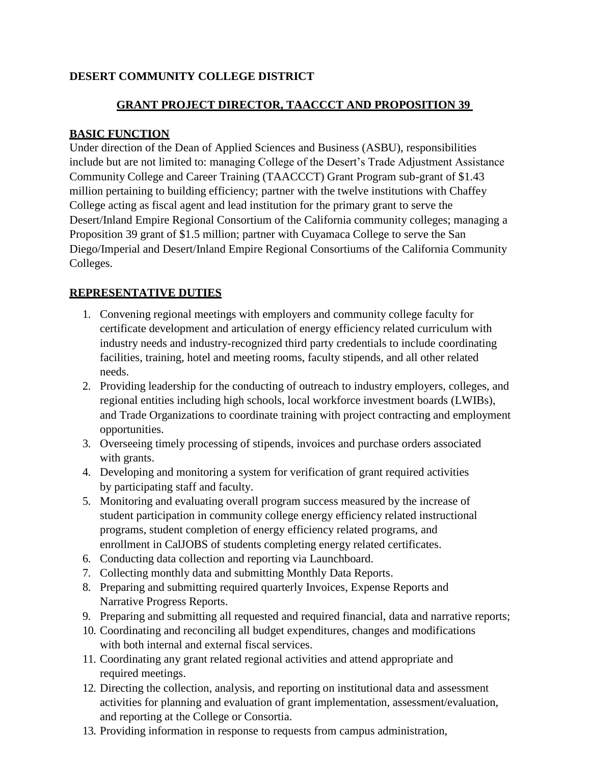# **DESERT COMMUNITY COLLEGE DISTRICT**

## **GRANT PROJECT DIRECTOR, TAACCCT AND PROPOSITION 39**

#### **BASIC FUNCTION**

Under direction of the Dean of Applied Sciences and Business (ASBU), responsibilities include but are not limited to: managing College of the Desert's Trade Adjustment Assistance Community College and Career Training (TAACCCT) Grant Program sub-grant of \$1.43 million pertaining to building efficiency; partner with the twelve institutions with Chaffey College acting as fiscal agent and lead institution for the primary grant to serve the Desert/Inland Empire Regional Consortium of the California community colleges; managing a Proposition 39 grant of \$1.5 million; partner with Cuyamaca College to serve the San Diego/Imperial and Desert/Inland Empire Regional Consortiums of the California Community Colleges.

#### **REPRESENTATIVE DUTIES**

- 1. Convening regional meetings with employers and community college faculty for certificate development and articulation of energy efficiency related curriculum with industry needs and industry-recognized third party credentials to include coordinating facilities, training, hotel and meeting rooms, faculty stipends, and all other related needs.
- 2. Providing leadership for the conducting of outreach to industry employers, colleges, and regional entities including high schools, local workforce investment boards (LWIBs), and Trade Organizations to coordinate training with project contracting and employment opportunities.
- 3. Overseeing timely processing of stipends, invoices and purchase orders associated with grants.
- 4. Developing and monitoring a system for verification of grant required activities by participating staff and faculty.
- 5. Monitoring and evaluating overall program success measured by the increase of student participation in community college energy efficiency related instructional programs, student completion of energy efficiency related programs, and enrollment in CalJOBS of students completing energy related certificates.
- 6. Conducting data collection and reporting via Launchboard.
- 7. Collecting monthly data and submitting Monthly Data Reports.
- 8. Preparing and submitting required quarterly Invoices, Expense Reports and Narrative Progress Reports.
- 9. Preparing and submitting all requested and required financial, data and narrative reports;
- 10. Coordinating and reconciling all budget expenditures, changes and modifications with both internal and external fiscal services.
- 11. Coordinating any grant related regional activities and attend appropriate and required meetings.
- 12. Directing the collection, analysis, and reporting on institutional data and assessment activities for planning and evaluation of grant implementation, assessment/evaluation, and reporting at the College or Consortia.
- 13. Providing information in response to requests from campus administration,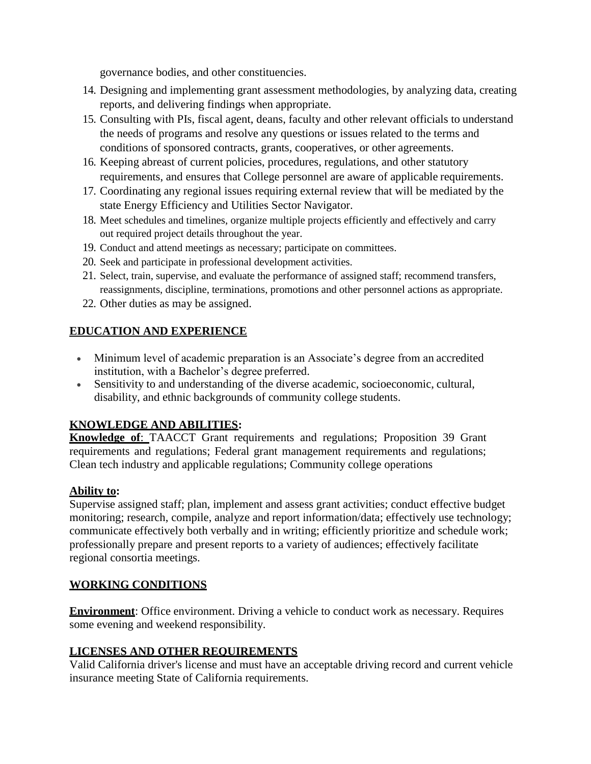governance bodies, and other constituencies.

- 14. Designing and implementing grant assessment methodologies, by analyzing data, creating reports, and delivering findings when appropriate.
- 15. Consulting with PIs, fiscal agent, deans, faculty and other relevant officials to understand the needs of programs and resolve any questions or issues related to the terms and conditions of sponsored contracts, grants, cooperatives, or other agreements.
- 16. Keeping abreast of current policies, procedures, regulations, and other statutory requirements, and ensures that College personnel are aware of applicable requirements.
- 17. Coordinating any regional issues requiring external review that will be mediated by the state Energy Efficiency and Utilities Sector Navigator.
- 18. Meet schedules and timelines, organize multiple projects efficiently and effectively and carry out required project details throughout the year.
- 19. Conduct and attend meetings as necessary; participate on committees.
- 20. Seek and participate in professional development activities.
- 21. Select, train, supervise, and evaluate the performance of assigned staff; recommend transfers, reassignments, discipline, terminations, promotions and other personnel actions as appropriate.
- 22. Other duties as may be assigned.

## **EDUCATION AND EXPERIENCE**

- Minimum level of academic preparation is an Associate's degree from an accredited institution, with a Bachelor's degree preferred.
- Sensitivity to and understanding of the diverse academic, socioeconomic, cultural, disability, and ethnic backgrounds of community college students.

## **KNOWLEDGE AND ABILITIES:**

**Knowledge of**: TAACCT Grant requirements and regulations; Proposition 39 Grant requirements and regulations; Federal grant management requirements and regulations; Clean tech industry and applicable regulations; Community college operations

## **Ability to:**

Supervise assigned staff; plan, implement and assess grant activities; conduct effective budget monitoring; research, compile, analyze and report information/data; effectively use technology; communicate effectively both verbally and in writing; efficiently prioritize and schedule work; professionally prepare and present reports to a variety of audiences; effectively facilitate regional consortia meetings.

## **WORKING CONDITIONS**

**Environment:** Office environment. Driving a vehicle to conduct work as necessary. Requires some evening and weekend responsibility.

## **LICENSES AND OTHER REQUIREMENTS**

Valid California driver's license and must have an acceptable driving record and current vehicle insurance meeting State of California requirements.